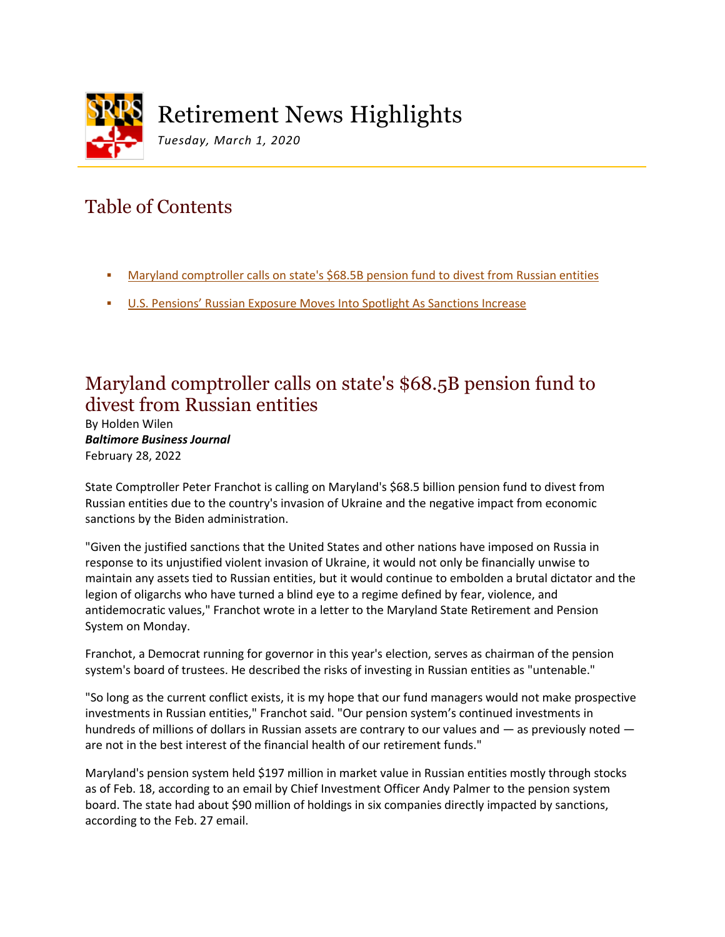

# Retirement News Highlights

*Tuesday, March 1, 2020*

## Table of Contents

- [Maryland comptroller calls on state's \\$68.5B pension fund to divest from Russian entities](#page-0-0)
- [U.S. Pensions' Russian Exposure Moves Into Spotlight As Sanctions Increase](#page-0-0)

#### <span id="page-0-0"></span>Maryland comptroller calls on state's \$68.5B pension fund to divest from Russian entities

By Holden Wilen *Baltimore Business Journal* February 28, 2022

State Comptroller Peter Franchot is calling on Maryland's \$68.5 billion pension fund to divest from Russian entities due to the country's invasion of Ukraine and the negative impact from economic sanctions by the Biden administration.

"Given the justified sanctions that the United States and other nations have imposed on Russia in response to its unjustified violent invasion of Ukraine, it would not only be financially unwise to maintain any assets tied to Russian entities, but it would continue to embolden a brutal dictator and the legion of oligarchs who have turned a blind eye to a regime defined by fear, violence, and antidemocratic values," Franchot wrote in a letter to the Maryland State Retirement and Pension System on Monday.

Franchot, a Democrat running for governor in this year's election, serves as chairman of the pension system's board of trustees. He described the risks of investing in Russian entities as "untenable."

"So long as the current conflict exists, it is my hope that our fund managers would not make prospective investments in Russian entities," Franchot said. "Our pension system's continued investments in hundreds of millions of dollars in Russian assets are contrary to our values and — as previously noted are not in the best interest of the financial health of our retirement funds."

Maryland's pension system held \$197 million in market value in Russian entities mostly through stocks as of Feb. 18, according to an email by Chief Investment Officer Andy Palmer to the pension system board. The state had about \$90 million of holdings in six companies directly impacted by sanctions, according to the Feb. 27 email.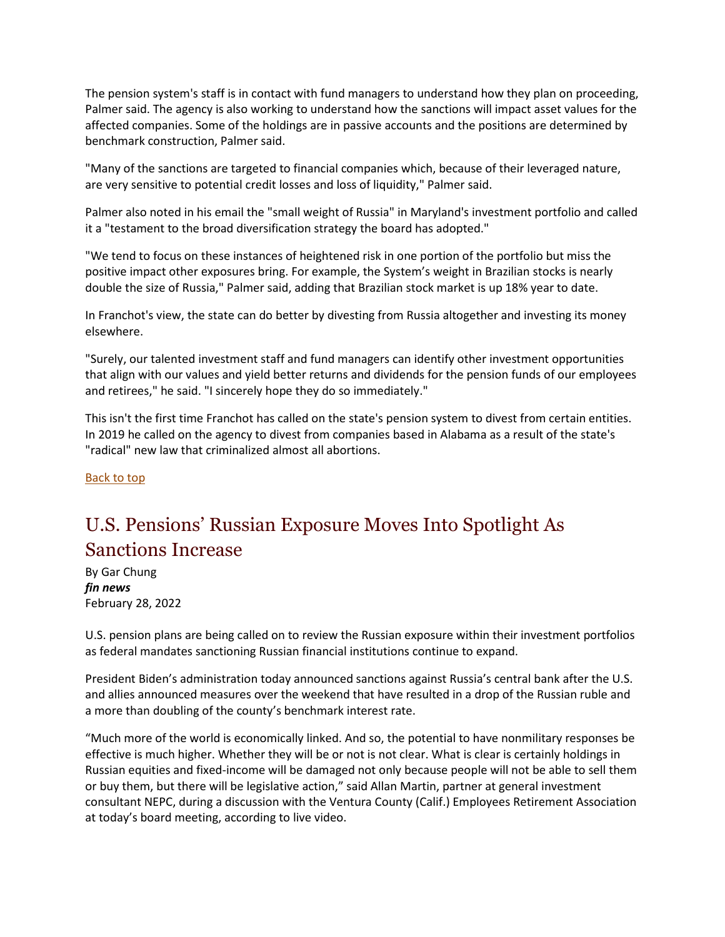The pension system's staff is in contact with fund managers to understand how they plan on proceeding, Palmer said. The agency is also working to understand how the sanctions will impact asset values for the affected companies. Some of the holdings are in passive accounts and the positions are determined by benchmark construction, Palmer said.

"Many of the sanctions are targeted to financial companies which, because of their leveraged nature, are very sensitive to potential credit losses and loss of liquidity," Palmer said.

Palmer also noted in his email the "small weight of Russia" in Maryland's investment portfolio and called it a "testament to the broad diversification strategy the board has adopted."

"We tend to focus on these instances of heightened risk in one portion of the portfolio but miss the positive impact other exposures bring. For example, the System's weight in Brazilian stocks is nearly double the size of Russia," Palmer said, adding that Brazilian stock market is up 18% year to date.

In Franchot's view, the state can do better by divesting from Russia altogether and investing its money elsewhere.

"Surely, our talented investment staff and fund managers can identify other investment opportunities that align with our values and yield better returns and dividends for the pension funds of our employees and retirees," he said. "I sincerely hope they do so immediately."

This isn't the first time Franchot has called on the state's pension system to divest from certain entities. In 2019 he called on the agency to divest from companies based in Alabama as a result of the state's "radical" new law that criminalized almost all abortions.

Back to top

### U.S. Pensions' Russian Exposure Moves Into Spotlight As Sanctions Increase

By Gar Chung *fin news* February 28, 2022

U.S. pension plans are being called on to review the Russian exposure within their investment portfolios as federal mandates sanctioning Russian financial institutions continue to expand.

President Biden's administration today announced sanctions against Russia's central bank after the U.S. and allies announced measures over the weekend that have resulted in a drop of the Russian ruble and a more than doubling of the county's benchmark interest rate.

"Much more of the world is economically linked. And so, the potential to have nonmilitary responses be effective is much higher. Whether they will be or not is not clear. What is clear is certainly holdings in Russian equities and fixed-income will be damaged not only because people will not be able to sell them or buy them, but there will be legislative action," said Allan Martin, partner at general investment consultant NEPC, during a discussion with the Ventura County (Calif.) Employees Retirement Association at today's board meeting, according to live video.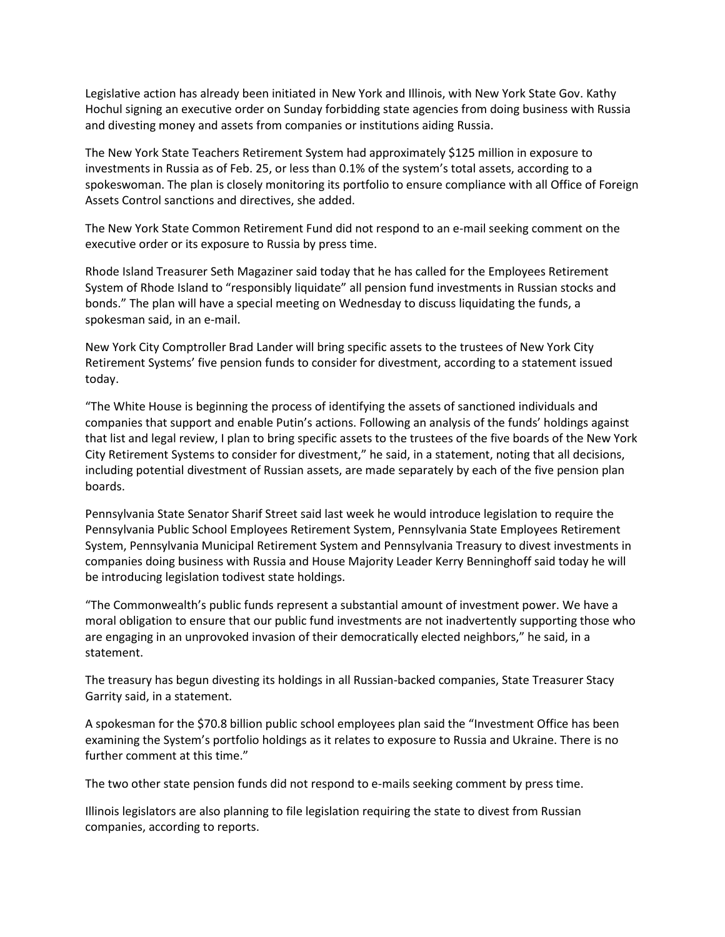Legislative action has already been initiated in New York and Illinois, with New York State Gov. Kathy Hochul signing an executive order on Sunday forbidding state agencies from doing business with Russia and divesting money and assets from companies or institutions aiding Russia.

The New York State Teachers Retirement System had approximately \$125 million in exposure to investments in Russia as of Feb. 25, or less than 0.1% of the system's total assets, according to a spokeswoman. The plan is closely monitoring its portfolio to ensure compliance with all Office of Foreign Assets Control sanctions and directives, she added.

The New York State Common Retirement Fund did not respond to an e-mail seeking comment on the executive order or its exposure to Russia by press time.

Rhode Island Treasurer Seth Magaziner said today that he has called for the Employees Retirement System of Rhode Island to "responsibly liquidate" all pension fund investments in Russian stocks and bonds." The plan will have a special meeting on Wednesday to discuss liquidating the funds, a spokesman said, in an e-mail.

New York City Comptroller Brad Lander will bring specific assets to the trustees of New York City Retirement Systems' five pension funds to consider for divestment, according to a statement issued today.

"The White House is beginning the process of identifying the assets of sanctioned individuals and companies that support and enable Putin's actions. Following an analysis of the funds' holdings against that list and legal review, I plan to bring specific assets to the trustees of the five boards of the New York City Retirement Systems to consider for divestment," he said, in a statement, noting that all decisions, including potential divestment of Russian assets, are made separately by each of the five pension plan boards.

Pennsylvania State Senator Sharif Street said last week he would introduce legislation to require the Pennsylvania Public School Employees Retirement System, Pennsylvania State Employees Retirement System, Pennsylvania Municipal Retirement System and Pennsylvania Treasury to divest investments in companies doing business with Russia and House Majority Leader Kerry Benninghoff said today he will be introducing legislation todivest state holdings.

"The Commonwealth's public funds represent a substantial amount of investment power. We have a moral obligation to ensure that our public fund investments are not inadvertently supporting those who are engaging in an unprovoked invasion of their democratically elected neighbors," he said, in a statement.

The treasury has begun divesting its holdings in all Russian-backed companies, State Treasurer Stacy Garrity said, in a statement.

A spokesman for the \$70.8 billion public school employees plan said the "Investment Office has been examining the System's portfolio holdings as it relates to exposure to Russia and Ukraine. There is no further comment at this time."

The two other state pension funds did not respond to e-mails seeking comment by press time.

Illinois legislators are also planning to file legislation requiring the state to divest from Russian companies, according to reports.